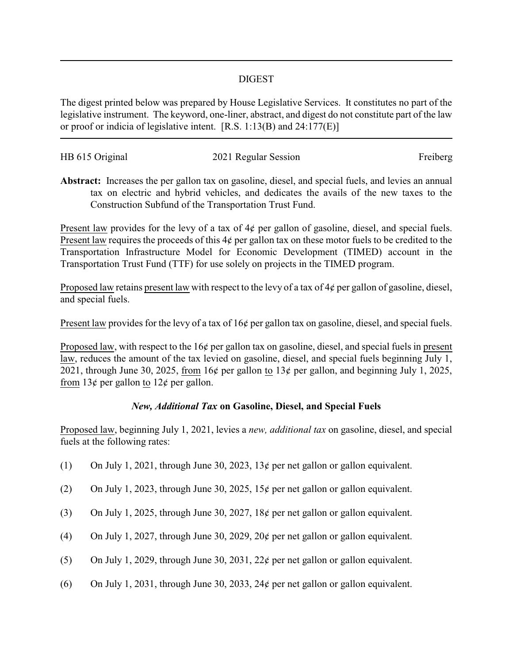## DIGEST

The digest printed below was prepared by House Legislative Services. It constitutes no part of the legislative instrument. The keyword, one-liner, abstract, and digest do not constitute part of the law or proof or indicia of legislative intent. [R.S. 1:13(B) and 24:177(E)]

| HB 615 Original | 2021 Regular Session | Freiberg |
|-----------------|----------------------|----------|
|                 |                      |          |

**Abstract:** Increases the per gallon tax on gasoline, diesel, and special fuels, and levies an annual tax on electric and hybrid vehicles, and dedicates the avails of the new taxes to the Construction Subfund of the Transportation Trust Fund.

Present law provides for the levy of a tax of  $4¢$  per gallon of gasoline, diesel, and special fuels. Present law requires the proceeds of this 4¢ per gallon tax on these motor fuels to be credited to the Transportation Infrastructure Model for Economic Development (TIMED) account in the Transportation Trust Fund (TTF) for use solely on projects in the TIMED program.

Proposed law retains present law with respect to the levy of a tax of  $4¢$  per gallon of gasoline, diesel, and special fuels.

Present law provides for the levy of a tax of 16¢ per gallon tax on gasoline, diesel, and special fuels.

Proposed law, with respect to the 16¢ per gallon tax on gasoline, diesel, and special fuels in present law, reduces the amount of the tax levied on gasoline, diesel, and special fuels beginning July 1, 2021, through June 30, 2025, from 16¢ per gallon to 13¢ per gallon, and beginning July 1, 2025, from 13¢ per gallon to 12¢ per gallon.

## *New, Additional Tax* **on Gasoline, Diesel, and Special Fuels**

Proposed law, beginning July 1, 2021, levies a *new, additional tax* on gasoline, diesel, and special fuels at the following rates:

- (1) On July 1, 2021, through June 30, 2023, 13¢ per net gallon or gallon equivalent.
- (2) On July 1, 2023, through June 30, 2025, 15¢ per net gallon or gallon equivalent.
- (3) On July 1, 2025, through June 30, 2027, 18¢ per net gallon or gallon equivalent.
- (4) On July 1, 2027, through June 30, 2029, 20¢ per net gallon or gallon equivalent.
- (5) On July 1, 2029, through June 30, 2031, 22¢ per net gallon or gallon equivalent.
- (6) On July 1, 2031, through June 30, 2033, 24 $\phi$  per net gallon or gallon equivalent.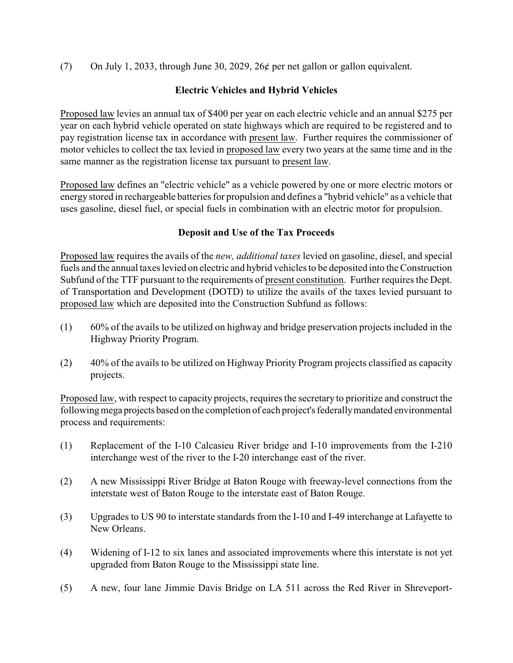(7) On July 1, 2033, through June 30, 2029, 26¢ per net gallon or gallon equivalent.

## **Electric Vehicles and Hybrid Vehicles**

Proposed law levies an annual tax of \$400 per year on each electric vehicle and an annual \$275 per year on each hybrid vehicle operated on state highways which are required to be registered and to pay registration license tax in accordance with present law. Further requires the commissioner of motor vehicles to collect the tax levied in proposed law every two years at the same time and in the same manner as the registration license tax pursuant to present law.

Proposed law defines an "electric vehicle" as a vehicle powered by one or more electric motors or energy stored in rechargeable batteries for propulsion and defines a "hybrid vehicle" as a vehicle that uses gasoline, diesel fuel, or special fuels in combination with an electric motor for propulsion.

## **Deposit and Use of the Tax Proceeds**

Proposed law requires the avails of the *new, additional taxes* levied on gasoline, diesel, and special fuels and the annual taxes levied on electric and hybrid vehicles to be deposited into the Construction Subfund of the TTF pursuant to the requirements of present constitution. Further requires the Dept. of Transportation and Development (DOTD) to utilize the avails of the taxes levied pursuant to proposed law which are deposited into the Construction Subfund as follows:

- (1) 60% of the avails to be utilized on highway and bridge preservation projects included in the Highway Priority Program.
- (2) 40% of the avails to be utilized on Highway Priority Program projects classified as capacity projects.

Proposed law, with respect to capacity projects, requires the secretary to prioritize and construct the following mega projects based on the completion of each project's federally mandated environmental process and requirements:

- (1) Replacement of the I-10 Calcasieu River bridge and I-10 improvements from the I-210 interchange west of the river to the I-20 interchange east of the river.
- (2) A new Mississippi River Bridge at Baton Rouge with freeway-level connections from the interstate west of Baton Rouge to the interstate east of Baton Rouge.
- (3) Upgrades to US 90 to interstate standards from the I-10 and I-49 interchange at Lafayette to New Orleans.
- (4) Widening of I-12 to six lanes and associated improvements where this interstate is not yet upgraded from Baton Rouge to the Mississippi state line.
- (5) A new, four lane Jimmie Davis Bridge on LA 511 across the Red River in Shreveport-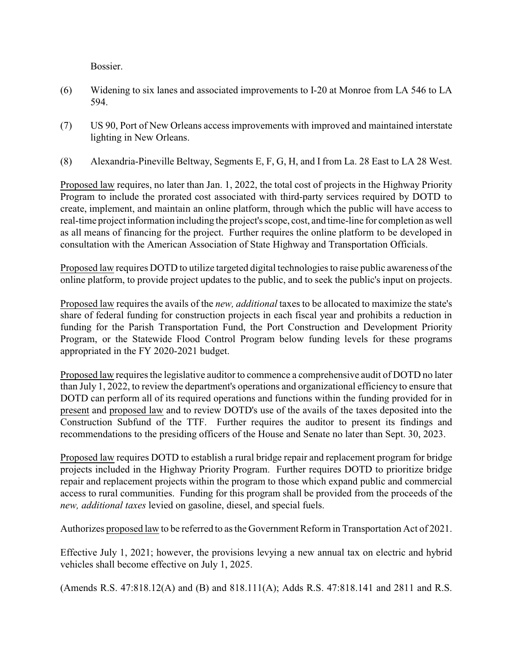Bossier.

- (6) Widening to six lanes and associated improvements to I-20 at Monroe from LA 546 to LA 594.
- (7) US 90, Port of New Orleans access improvements with improved and maintained interstate lighting in New Orleans.
- (8) Alexandria-Pineville Beltway, Segments E, F, G, H, and I from La. 28 East to LA 28 West.

Proposed law requires, no later than Jan. 1, 2022, the total cost of projects in the Highway Priority Program to include the prorated cost associated with third-party services required by DOTD to create, implement, and maintain an online platform, through which the public will have access to real-time project information including the project's scope, cost, and time-line for completion as well as all means of financing for the project. Further requires the online platform to be developed in consultation with the American Association of State Highway and Transportation Officials.

Proposed law requires DOTD to utilize targeted digital technologies to raise public awareness of the online platform, to provide project updates to the public, and to seek the public's input on projects.

Proposed law requires the avails of the *new, additional* taxes to be allocated to maximize the state's share of federal funding for construction projects in each fiscal year and prohibits a reduction in funding for the Parish Transportation Fund, the Port Construction and Development Priority Program, or the Statewide Flood Control Program below funding levels for these programs appropriated in the FY 2020-2021 budget.

Proposed law requires the legislative auditor to commence a comprehensive audit of DOTD no later than July 1, 2022, to review the department's operations and organizational efficiency to ensure that DOTD can perform all of its required operations and functions within the funding provided for in present and proposed law and to review DOTD's use of the avails of the taxes deposited into the Construction Subfund of the TTF. Further requires the auditor to present its findings and recommendations to the presiding officers of the House and Senate no later than Sept. 30, 2023.

Proposed law requires DOTD to establish a rural bridge repair and replacement program for bridge projects included in the Highway Priority Program. Further requires DOTD to prioritize bridge repair and replacement projects within the program to those which expand public and commercial access to rural communities. Funding for this program shall be provided from the proceeds of the *new, additional taxes* levied on gasoline, diesel, and special fuels.

Authorizes proposed law to be referred to as the Government Reform in Transportation Act of 2021.

Effective July 1, 2021; however, the provisions levying a new annual tax on electric and hybrid vehicles shall become effective on July 1, 2025.

(Amends R.S. 47:818.12(A) and (B) and 818.111(A); Adds R.S. 47:818.141 and 2811 and R.S.